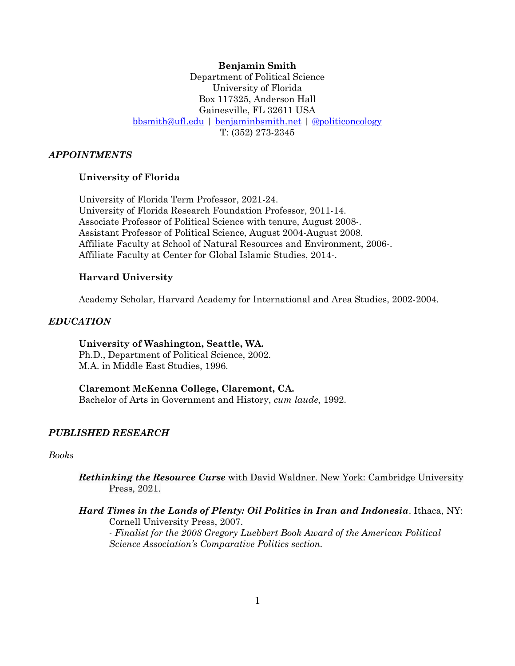**Benjamin Smith** Department of Political Science University of Florida Box 117325, Anderson Hall Gainesville, FL 32611 USA [bbsmith@ufl.edu](mailto:bbsmith@ufl.edu) | [benjaminbsmith.net](http://benjaminbsmith.net/) | [@politiconcology](http://twitter.com/politiconcology) T: (352) 273-2345

# *APPOINTMENTS*

## **University of Florida**

University of Florida Term Professor, 2021-24. University of Florida Research Foundation Professor, 2011-14. Associate Professor of Political Science with tenure, August 2008-. Assistant Professor of Political Science, August 2004-August 2008. Affiliate Faculty at School of Natural Resources and Environment, 2006-. Affiliate Faculty at Center for Global Islamic Studies, 2014-.

#### **Harvard University**

Academy Scholar, Harvard Academy for International and Area Studies, 2002-2004.

#### *EDUCATION*

**University of Washington, Seattle, WA.** Ph.D., Department of Political Science, 2002. M.A. in Middle East Studies, 1996.

## **Claremont McKenna College, Claremont, CA.**

Bachelor of Arts in Government and History, *cum laude*, 1992.

*Science Association's Comparative Politics section.*

## *PUBLISHED RESEARCH*

#### *Books*

*Rethinking the Resource Curse* with David Waldner. New York: Cambridge University Press, 2021.

*Hard Times in the Lands of Plenty: Oil Politics in Iran and Indonesia*. Ithaca, NY: Cornell University Press, 2007. *- Finalist for the 2008 Gregory Luebbert Book Award of the American Political*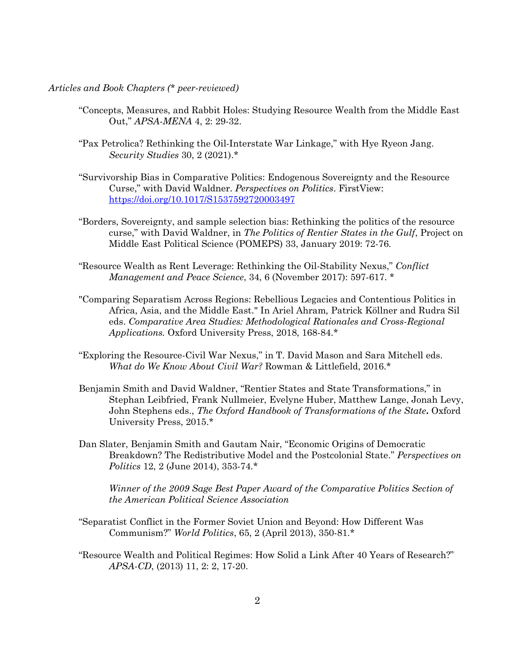*Articles and Book Chapters (\* peer-reviewed)*

- "Concepts, Measures, and Rabbit Holes: Studying Resource Wealth from the Middle East Out," *APSA-MENA* 4, 2: 29-32.
- "Pax Petrolica? Rethinking the Oil-Interstate War Linkage," with Hye Ryeon Jang. *Security Studies* 30, 2 (2021).\*
- "Survivorship Bias in Comparative Politics: Endogenous Sovereignty and the Resource Curse," with David Waldner. *Perspectives on Politics*. FirstView: [https://doi.org/10.1017/S1537592720003497](https://urldefense.proofpoint.com/v2/url?u=https-3A__doi.org_10.1017_S1537592720003497&d=DwQGaQ&c=sJ6xIWYx-zLMB3EPkvcnVg&r=cIhTJbqz69Euk-2BE3Fivg&m=zK3-4M5rRI6lZevyMBKYkThmULIygZhyc-yxj094NR4&s=yTN8VysGrYq4v1ZIBcLNsES3sp_kygJY-5sEDTTI0rI&e=)
- "Borders, Sovereignty, and sample selection bias: Rethinking the politics of the resource curse," with David Waldner, in *The Politics of Rentier States in the Gulf*, Project on Middle East Political Science (POMEPS) 33, January 2019: 72-76.
- "Resource Wealth as Rent Leverage: Rethinking the Oil-Stability Nexus," *Conflict Management and Peace Science*, 34, 6 (November 2017): 597-617. \*
- "Comparing Separatism Across Regions: Rebellious Legacies and Contentious Politics in Africa, Asia, and the Middle East." In Ariel Ahram*,* Patrick Köllner and Rudra Sil eds. *Comparative Area Studies: Methodological Rationales and Cross-Regional Applications.* Oxford University Press, 2018, 168-84.\*
- "Exploring the Resource-Civil War Nexus," in T. David Mason and Sara Mitchell eds. *What do We Know About Civil War?* Rowman & Littlefield, 2016.\*
- Benjamin Smith and David Waldner, "Rentier States and State Transformations," in Stephan Leibfried, Frank Nullmeier, Evelyne Huber, Matthew Lange, Jonah Levy, John Stephens eds., *The Oxford Handbook of Transformations of the State***.** Oxford University Press, 2015.\*
- Dan Slater, Benjamin Smith and Gautam Nair, "Economic Origins of Democratic Breakdown? The Redistributive Model and the Postcolonial State." *Perspectives on Politics* 12, 2 (June 2014), 353-74.\*

*Winner of the 2009 Sage Best Paper Award of the Comparative Politics Section of the American Political Science Association*

- "Separatist Conflict in the Former Soviet Union and Beyond: How Different Was Communism?" *World Politics*, 65, 2 (April 2013), 350-81.\*
- "Resource Wealth and Political Regimes: How Solid a Link After 40 Years of Research?" *APSA-CD*, (2013) 11, 2: 2, 17-20.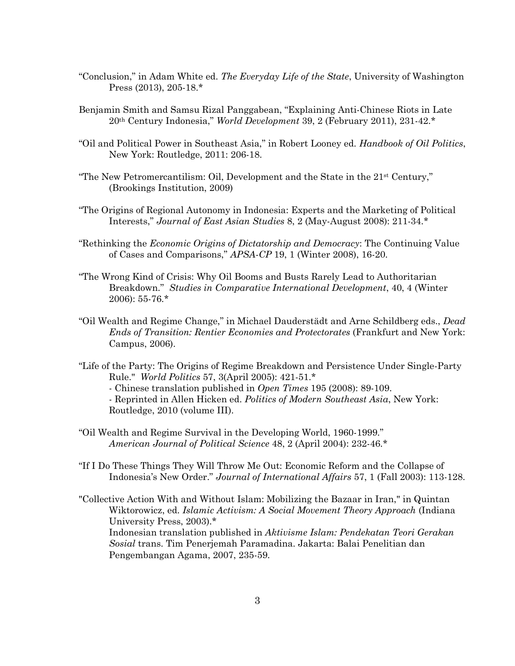- "Conclusion," in Adam White ed. *The Everyday Life of the State*, University of Washington Press (2013), 205-18.\*
- Benjamin Smith and Samsu Rizal Panggabean, "Explaining Anti-Chinese Riots in Late 20th Century Indonesia," *World Development* 39, 2 (February 2011), 231-42.\*
- "Oil and Political Power in Southeast Asia," in Robert Looney ed. *Handbook of Oil Politics*, New York: Routledge, 2011: 206-18.
- "The New Petromercantilism: Oil, Development and the State in the 21st Century," (Brookings Institution, 2009)
- "The Origins of Regional Autonomy in Indonesia: Experts and the Marketing of Political Interests," *Journal of East Asian Studies* 8, 2 (May-August 2008): 211-34.\*
- "Rethinking the *Economic Origins of Dictatorship and Democracy*: The Continuing Value of Cases and Comparisons," *APSA-CP* 19, 1 (Winter 2008), 16-20.
- "The Wrong Kind of Crisis: Why Oil Booms and Busts Rarely Lead to Authoritarian Breakdown." *Studies in Comparative International Development*, 40, 4 (Winter 2006): 55-76.\*
- "Oil Wealth and Regime Change," in Michael Dauderstädt and Arne Schildberg eds., *Dead Ends of Transition: Rentier Economies and Protectorates* (Frankfurt and New York: Campus, 2006).
- "Life of the Party: The Origins of Regime Breakdown and Persistence Under Single-Party Rule." *World Politics* 57, 3(April 2005): 421-51.\*

- Chinese translation published in *Open Times* 195 (2008): 89-109.

- Reprinted in Allen Hicken ed. *Politics of Modern Southeast Asia*, New York: Routledge, 2010 (volume III).

- "Oil Wealth and Regime Survival in the Developing World, 1960-1999." *American Journal of Political Science* 48, 2 (April 2004): 232-46.\*
- "If I Do These Things They Will Throw Me Out: Economic Reform and the Collapse of Indonesia's New Order." *Journal of International Affairs* 57, 1 (Fall 2003): 113-128.
- "Collective Action With and Without Islam: Mobilizing the Bazaar in Iran," in Quintan Wiktorowicz, ed. *Islamic Activism: A Social Movement Theory Approach* (Indiana University Press, 2003).\* Indonesian translation published in *Aktivisme Islam: Pendekatan Teori Gerakan Sosial* trans. Tim Penerjemah Paramadina. Jakarta: Balai Penelitian dan Pengembangan Agama, 2007, 235-59.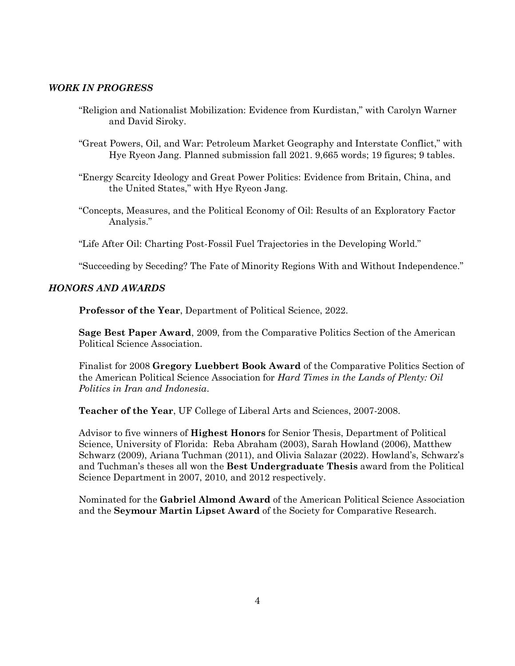## *WORK IN PROGRESS*

- "Religion and Nationalist Mobilization: Evidence from Kurdistan," with Carolyn Warner and David Siroky.
- "Great Powers, Oil, and War: Petroleum Market Geography and Interstate Conflict," with Hye Ryeon Jang. Planned submission fall 2021. 9,665 words; 19 figures; 9 tables.
- "Energy Scarcity Ideology and Great Power Politics: Evidence from Britain, China, and the United States," with Hye Ryeon Jang.
- "Concepts, Measures, and the Political Economy of Oil: Results of an Exploratory Factor Analysis."

"Life After Oil: Charting Post-Fossil Fuel Trajectories in the Developing World."

"Succeeding by Seceding? The Fate of Minority Regions With and Without Independence."

# *HONORS AND AWARDS*

**Professor of the Year**, Department of Political Science, 2022.

**Sage Best Paper Award**, 2009, from the Comparative Politics Section of the American Political Science Association.

Finalist for 2008 **Gregory Luebbert Book Award** of the Comparative Politics Section of the American Political Science Association for *Hard Times in the Lands of Plenty: Oil Politics in Iran and Indonesia*.

**Teacher of the Year**, UF College of Liberal Arts and Sciences, 2007-2008.

Advisor to five winners of **Highest Honors** for Senior Thesis, Department of Political Science, University of Florida: Reba Abraham (2003), Sarah Howland (2006), Matthew Schwarz (2009), Ariana Tuchman (2011), and Olivia Salazar (2022). Howland's, Schwarz's and Tuchman's theses all won the **Best Undergraduate Thesis** award from the Political Science Department in 2007, 2010, and 2012 respectively.

Nominated for the **Gabriel Almond Award** of the American Political Science Association and the **Seymour Martin Lipset Award** of the Society for Comparative Research.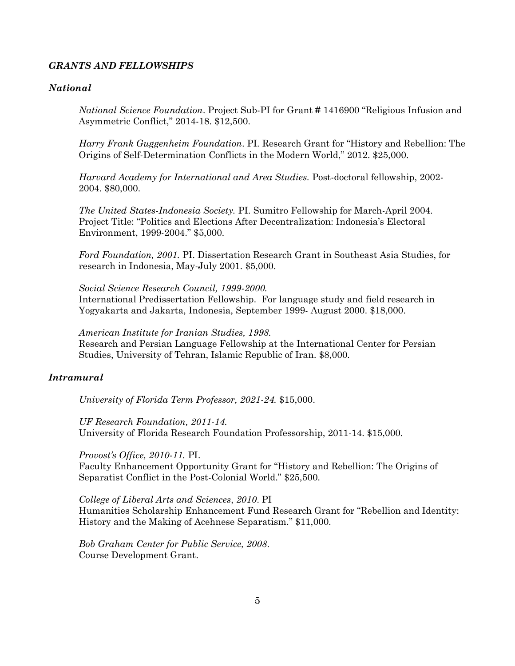#### *GRANTS AND FELLOWSHIPS*

#### *National*

*National Science Foundation*. Project Sub-PI for Grant **#** 1416900 "Religious Infusion and Asymmetric Conflict," 2014-18. \$12,500.

*Harry Frank Guggenheim Foundation*. PI. Research Grant for "History and Rebellion: The Origins of Self-Determination Conflicts in the Modern World," 2012. \$25,000.

*Harvard Academy for International and Area Studies.* Post-doctoral fellowship, 2002- 2004. \$80,000.

*The United States-Indonesia Society.* PI. Sumitro Fellowship for March-April 2004. Project Title: "Politics and Elections After Decentralization: Indonesia's Electoral Environment, 1999-2004." \$5,000.

*Ford Foundation, 2001.* PI. Dissertation Research Grant in Southeast Asia Studies, for research in Indonesia, May-July 2001. \$5,000.

*Social Science Research Council, 1999-2000.* International Predissertation Fellowship. For language study and field research in Yogyakarta and Jakarta, Indonesia, September 1999- August 2000. \$18,000.

*American Institute for Iranian Studies, 1998.* Research and Persian Language Fellowship at the International Center for Persian Studies, University of Tehran, Islamic Republic of Iran. \$8,000.

## *Intramural*

*University of Florida Term Professor, 2021-24.* \$15,000.

*UF Research Foundation, 2011-14.* University of Florida Research Foundation Professorship, 2011-14. \$15,000.

*Provost's Office, 2010-11.* PI.

Faculty Enhancement Opportunity Grant for "History and Rebellion: The Origins of Separatist Conflict in the Post-Colonial World." \$25,500.

*College of Liberal Arts and Sciences*, *2010*. PI Humanities Scholarship Enhancement Fund Research Grant for "Rebellion and Identity: History and the Making of Acehnese Separatism." \$11,000.

*Bob Graham Center for Public Service, 2008*. Course Development Grant.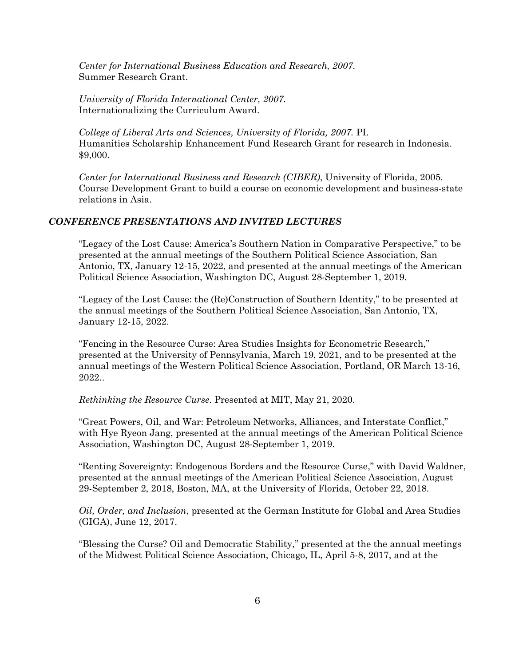*Center for International Business Education and Research, 2007.* Summer Research Grant.

*University of Florida International Center, 2007.* Internationalizing the Curriculum Award.

*College of Liberal Arts and Sciences, University of Florida, 2007.* PI. Humanities Scholarship Enhancement Fund Research Grant for research in Indonesia. \$9,000.

*Center for International Business and Research (CIBER)*, University of Florida, 2005. Course Development Grant to build a course on economic development and business-state relations in Asia.

# *CONFERENCE PRESENTATIONS AND INVITED LECTURES*

"Legacy of the Lost Cause: America's Southern Nation in Comparative Perspective," to be presented at the annual meetings of the Southern Political Science Association, San Antonio, TX, January 12-15, 2022, and presented at the annual meetings of the American Political Science Association, Washington DC, August 28-September 1, 2019.

"Legacy of the Lost Cause: the (Re)Construction of Southern Identity," to be presented at the annual meetings of the Southern Political Science Association, San Antonio, TX, January 12-15, 2022.

"Fencing in the Resource Curse: Area Studies Insights for Econometric Research," presented at the University of Pennsylvania, March 19, 2021, and to be presented at the annual meetings of the Western Political Science Association, Portland, OR March 13-16, 2022..

*Rethinking the Resource Curse*. Presented at MIT, May 21, 2020.

"Great Powers, Oil, and War: Petroleum Networks, Alliances, and Interstate Conflict," with Hye Ryeon Jang, presented at the annual meetings of the American Political Science Association, Washington DC, August 28-September 1, 2019.

"Renting Sovereignty: Endogenous Borders and the Resource Curse," with David Waldner, presented at the annual meetings of the American Political Science Association, August 29-September 2, 2018, Boston, MA, at the University of Florida, October 22, 2018.

*Oil, Order, and Inclusion*, presented at the German Institute for Global and Area Studies (GIGA), June 12, 2017.

"Blessing the Curse? Oil and Democratic Stability," presented at the the annual meetings of the Midwest Political Science Association, Chicago, IL, April 5-8, 2017, and at the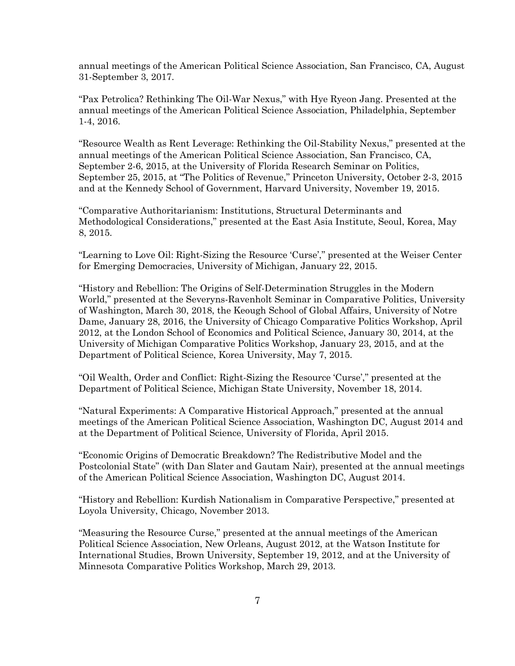annual meetings of the American Political Science Association, San Francisco, CA, August 31-September 3, 2017.

"Pax Petrolica? Rethinking The Oil-War Nexus," with Hye Ryeon Jang. Presented at the annual meetings of the American Political Science Association, Philadelphia, September 1-4, 2016.

"Resource Wealth as Rent Leverage: Rethinking the Oil-Stability Nexus," presented at the annual meetings of the American Political Science Association, San Francisco, CA, September 2-6, 2015, at the University of Florida Research Seminar on Politics, September 25, 2015, at "The Politics of Revenue," Princeton University, October 2-3, 2015 and at the Kennedy School of Government, Harvard University, November 19, 2015.

"Comparative Authoritarianism: Institutions, Structural Determinants and Methodological Considerations," presented at the East Asia Institute, Seoul, Korea, May 8, 2015.

"Learning to Love Oil: Right-Sizing the Resource 'Curse'," presented at the Weiser Center for Emerging Democracies, University of Michigan, January 22, 2015.

"History and Rebellion: The Origins of Self-Determination Struggles in the Modern World," presented at the Severyns-Ravenholt Seminar in Comparative Politics, University of Washington, March 30, 2018, the Keough School of Global Affairs, University of Notre Dame, January 28, 2016, the University of Chicago Comparative Politics Workshop, April 2012, at the London School of Economics and Political Science, January 30, 2014, at the University of Michigan Comparative Politics Workshop, January 23, 2015, and at the Department of Political Science, Korea University, May 7, 2015.

"Oil Wealth, Order and Conflict: Right-Sizing the Resource 'Curse'," presented at the Department of Political Science, Michigan State University, November 18, 2014.

"Natural Experiments: A Comparative Historical Approach," presented at the annual meetings of the American Political Science Association, Washington DC, August 2014 and at the Department of Political Science, University of Florida, April 2015.

"Economic Origins of Democratic Breakdown? The Redistributive Model and the Postcolonial State" (with Dan Slater and Gautam Nair), presented at the annual meetings of the American Political Science Association, Washington DC, August 2014.

"History and Rebellion: Kurdish Nationalism in Comparative Perspective," presented at Loyola University, Chicago, November 2013.

"Measuring the Resource Curse," presented at the annual meetings of the American Political Science Association, New Orleans, August 2012, at the Watson Institute for International Studies, Brown University, September 19, 2012, and at the University of Minnesota Comparative Politics Workshop, March 29, 2013.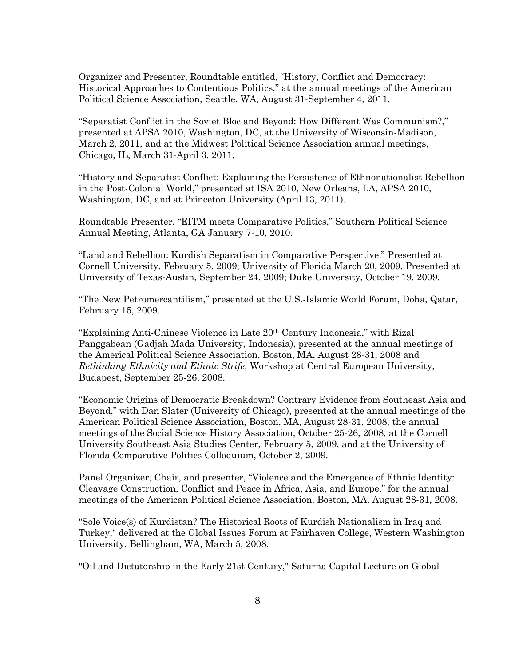Organizer and Presenter, Roundtable entitled, "History, Conflict and Democracy: Historical Approaches to Contentious Politics," at the annual meetings of the American Political Science Association, Seattle, WA, August 31-September 4, 2011.

"Separatist Conflict in the Soviet Bloc and Beyond: How Different Was Communism?," presented at APSA 2010, Washington, DC, at the University of Wisconsin-Madison, March 2, 2011, and at the Midwest Political Science Association annual meetings, Chicago, IL, March 31-April 3, 2011.

"History and Separatist Conflict: Explaining the Persistence of Ethnonationalist Rebellion in the Post-Colonial World," presented at ISA 2010, New Orleans, LA, APSA 2010, Washington, DC, and at Princeton University (April 13, 2011).

Roundtable Presenter, "EITM meets Comparative Politics," Southern Political Science Annual Meeting, Atlanta, GA January 7-10, 2010.

"Land and Rebellion: Kurdish Separatism in Comparative Perspective." Presented at Cornell University, February 5, 2009; University of Florida March 20, 2009. Presented at University of Texas-Austin, September 24, 2009; Duke University, October 19, 2009.

"The New Petromercantilism," presented at the U.S.-Islamic World Forum, Doha, Qatar, February 15, 2009.

"Explaining Anti-Chinese Violence in Late 20th Century Indonesia," with Rizal Panggabean (Gadjah Mada University, Indonesia), presented at the annual meetings of the Americal Political Science Association, Boston, MA, August 28-31, 2008 and *Rethinking Ethnicity and Ethnic Strife*, Workshop at Central European University, Budapest, September 25-26, 2008.

"Economic Origins of Democratic Breakdown? Contrary Evidence from Southeast Asia and Beyond," with Dan Slater (University of Chicago), presented at the annual meetings of the American Political Science Association, Boston, MA, August 28-31, 2008, the annual meetings of the Social Science History Association, October 25-26, 2008, at the Cornell University Southeast Asia Studies Center, February 5, 2009, and at the University of Florida Comparative Politics Colloquium, October 2, 2009.

Panel Organizer, Chair, and presenter, "Violence and the Emergence of Ethnic Identity: Cleavage Construction, Conflict and Peace in Africa, Asia, and Europe," for the annual meetings of the American Political Science Association, Boston, MA, August 28-31, 2008.

"Sole Voice(s) of Kurdistan? The Historical Roots of Kurdish Nationalism in Iraq and Turkey," delivered at the Global Issues Forum at Fairhaven College, Western Washington University, Bellingham, WA, March 5, 2008.

"Oil and Dictatorship in the Early 21st Century," Saturna Capital Lecture on Global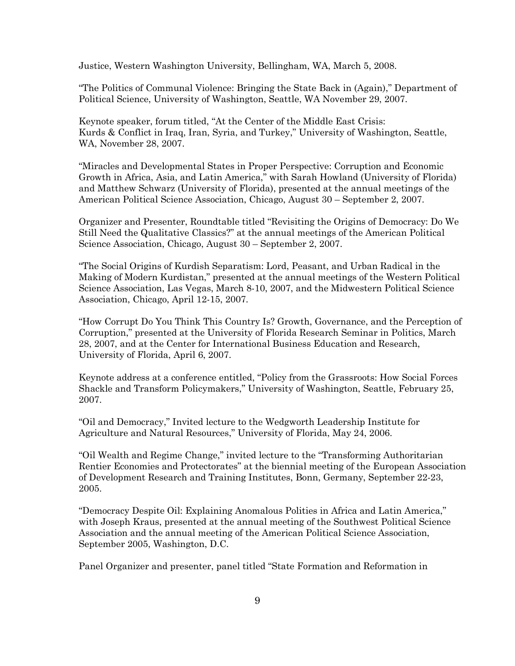Justice, Western Washington University, Bellingham, WA, March 5, 2008.

"The Politics of Communal Violence: Bringing the State Back in (Again)," Department of Political Science, University of Washington, Seattle, WA November 29, 2007.

Keynote speaker, forum titled, "At the Center of the Middle East Crisis: Kurds & Conflict in Iraq, Iran, Syria, and Turkey," University of Washington, Seattle, WA, November 28, 2007.

"Miracles and Developmental States in Proper Perspective: Corruption and Economic Growth in Africa, Asia, and Latin America," with Sarah Howland (University of Florida) and Matthew Schwarz (University of Florida), presented at the annual meetings of the American Political Science Association, Chicago, August 30 – September 2, 2007.

Organizer and Presenter, Roundtable titled "Revisiting the Origins of Democracy: Do We Still Need the Qualitative Classics?" at the annual meetings of the American Political Science Association, Chicago, August 30 – September 2, 2007.

"The Social Origins of Kurdish Separatism: Lord, Peasant, and Urban Radical in the Making of Modern Kurdistan," presented at the annual meetings of the Western Political Science Association, Las Vegas, March 8-10, 2007, and the Midwestern Political Science Association, Chicago, April 12-15, 2007.

"How Corrupt Do You Think This Country Is? Growth, Governance, and the Perception of Corruption," presented at the University of Florida Research Seminar in Politics, March 28, 2007, and at the Center for International Business Education and Research, University of Florida, April 6, 2007.

Keynote address at a conference entitled, "Policy from the Grassroots: How Social Forces Shackle and Transform Policymakers," University of Washington, Seattle, February 25, 2007.

"Oil and Democracy," Invited lecture to the Wedgworth Leadership Institute for Agriculture and Natural Resources," University of Florida, May 24, 2006.

"Oil Wealth and Regime Change," invited lecture to the "Transforming Authoritarian Rentier Economies and Protectorates" at the biennial meeting of the European Association of Development Research and Training Institutes, Bonn, Germany, September 22-23, 2005.

"Democracy Despite Oil: Explaining Anomalous Polities in Africa and Latin America," with Joseph Kraus, presented at the annual meeting of the Southwest Political Science Association and the annual meeting of the American Political Science Association, September 2005, Washington, D.C.

Panel Organizer and presenter, panel titled "State Formation and Reformation in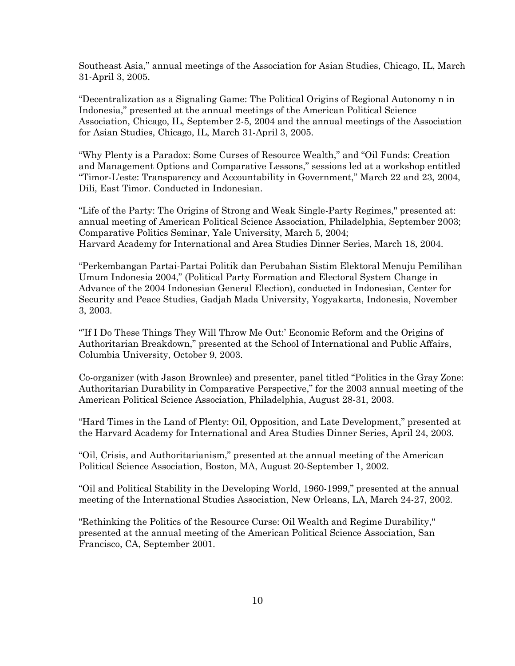Southeast Asia," annual meetings of the Association for Asian Studies, Chicago, IL, March 31-April 3, 2005.

"Decentralization as a Signaling Game: The Political Origins of Regional Autonomy n in Indonesia," presented at the annual meetings of the American Political Science Association, Chicago, IL, September 2-5, 2004 and the annual meetings of the Association for Asian Studies, Chicago, IL, March 31-April 3, 2005.

"Why Plenty is a Paradox: Some Curses of Resource Wealth," and "Oil Funds: Creation and Management Options and Comparative Lessons," sessions led at a workshop entitled "Timor-L'este: Transparency and Accountability in Government," March 22 and 23, 2004, Dili, East Timor. Conducted in Indonesian.

"Life of the Party: The Origins of Strong and Weak Single-Party Regimes," presented at: annual meeting of American Political Science Association, Philadelphia, September 2003; Comparative Politics Seminar, Yale University, March 5, 2004; Harvard Academy for International and Area Studies Dinner Series, March 18, 2004.

"Perkembangan Partai-Partai Politik dan Perubahan Sistim Elektoral Menuju Pemilihan Umum Indonesia 2004," (Political Party Formation and Electoral System Change in Advance of the 2004 Indonesian General Election), conducted in Indonesian, Center for Security and Peace Studies, Gadjah Mada University, Yogyakarta, Indonesia, November 3, 2003.

"'If I Do These Things They Will Throw Me Out:' Economic Reform and the Origins of Authoritarian Breakdown," presented at the School of International and Public Affairs, Columbia University, October 9, 2003.

Co-organizer (with Jason Brownlee) and presenter, panel titled "Politics in the Gray Zone: Authoritarian Durability in Comparative Perspective," for the 2003 annual meeting of the American Political Science Association, Philadelphia, August 28-31, 2003.

"Hard Times in the Land of Plenty: Oil, Opposition, and Late Development," presented at the Harvard Academy for International and Area Studies Dinner Series, April 24, 2003.

"Oil, Crisis, and Authoritarianism," presented at the annual meeting of the American Political Science Association, Boston, MA, August 20-September 1, 2002.

"Oil and Political Stability in the Developing World, 1960-1999," presented at the annual meeting of the International Studies Association, New Orleans, LA, March 24-27, 2002.

"Rethinking the Politics of the Resource Curse: Oil Wealth and Regime Durability," presented at the annual meeting of the American Political Science Association, San Francisco, CA, September 2001.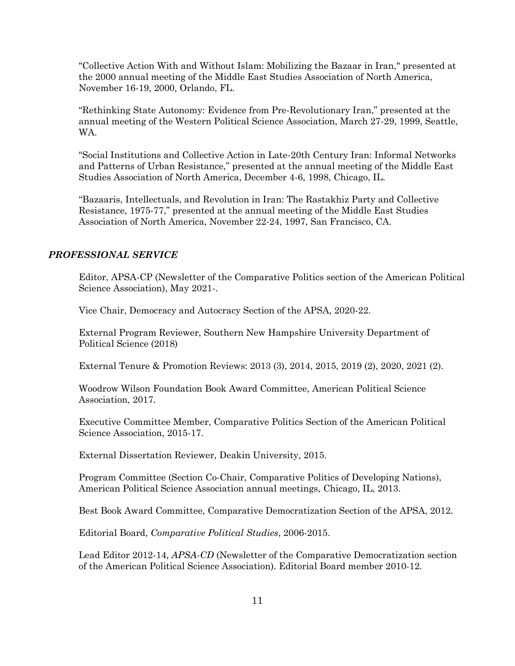"Collective Action With and Without Islam: Mobilizing the Bazaar in Iran," presented at the 2000 annual meeting of the Middle East Studies Association of North America, November 16-19, 2000, Orlando, FL.

"Rethinking State Autonomy: Evidence from Pre-Revolutionary Iran," presented at the annual meeting of the Western Political Science Association, March 27-29, 1999, Seattle, WA.

"Social Institutions and Collective Action in Late-20th Century Iran: Informal Networks and Patterns of Urban Resistance," presented at the annual meeting of the Middle East Studies Association of North America, December 4-6, 1998, Chicago, IL.

"Bazaaris, Intellectuals, and Revolution in Iran: The Rastakhiz Party and Collective Resistance, 1975-77," presented at the annual meeting of the Middle East Studies Association of North America, November 22-24, 1997, San Francisco, CA.

## *PROFESSIONAL SERVICE*

Editor, APSA-CP (Newsletter of the Comparative Politics section of the American Political Science Association), May 2021-.

Vice Chair, Democracy and Autocracy Section of the APSA, 2020-22.

External Program Reviewer, Southern New Hampshire University Department of Political Science (2018)

External Tenure & Promotion Reviews: 2013 (3), 2014, 2015, 2019 (2), 2020, 2021 (2).

Woodrow Wilson Foundation Book Award Committee, American Political Science Association, 2017.

Executive Committee Member, Comparative Politics Section of the American Political Science Association, 2015-17.

External Dissertation Reviewer, Deakin University, 2015.

Program Committee (Section Co-Chair, Comparative Politics of Developing Nations), American Political Science Association annual meetings, Chicago, IL, 2013.

Best Book Award Committee, Comparative Democratization Section of the APSA, 2012.

Editorial Board, *Comparative Political Studies*, 2006-2015.

Lead Editor 2012-14, *APSA-CD* (Newsletter of the Comparative Democratization section of the American Political Science Association). Editorial Board member 2010-12.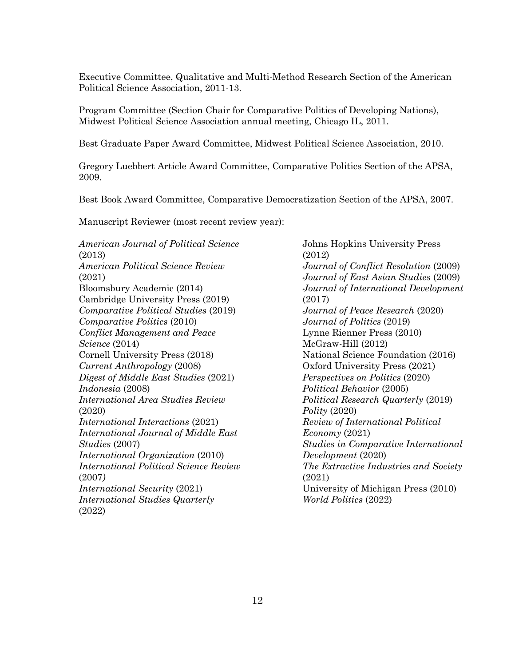Executive Committee, Qualitative and Multi-Method Research Section of the American Political Science Association, 2011-13.

Program Committee (Section Chair for Comparative Politics of Developing Nations), Midwest Political Science Association annual meeting, Chicago IL, 2011.

Best Graduate Paper Award Committee, Midwest Political Science Association, 2010.

Gregory Luebbert Article Award Committee, Comparative Politics Section of the APSA, 2009.

Best Book Award Committee, Comparative Democratization Section of the APSA, 2007.

Manuscript Reviewer (most recent review year):

*American Journal of Political Science* (2013) *American Political Science Review* (2021) Bloomsbury Academic (2014) Cambridge University Press (2019) *Comparative Political Studies* (2019) *Comparative Politics* (2010) *Conflict Management and Peace Science* (2014) Cornell University Press (2018) *Current Anthropology* (2008) *Digest of Middle East Studies* (2021) *Indonesia* (2008) *International Area Studies Review* (2020) *International Interactions* (2021) *International Journal of Middle East Studies* (2007) *International Organization* (2010) *International Political Science Review* (2007*) International Security* (2021) *International Studies Quarterly* (2022)

Johns Hopkins University Press (2012) *Journal of Conflict Resolution* (2009) *Journal of East Asian Studies* (2009) *Journal of International Development* (2017) *Journal of Peace Research* (2020) *Journal of Politics* (2019) Lynne Rienner Press (2010) McGraw-Hill (2012) National Science Foundation (2016) Oxford University Press (2021) *Perspectives on Politics* (2020) *Political Behavior* (2005) *Political Research Quarterly* (2019) *Polity* (2020) *Review of International Political Economy* (2021) *Studies in Comparative International Development* (2020) *The Extractive Industries and Society* (2021) University of Michigan Press (2010) *World Politics* (2022)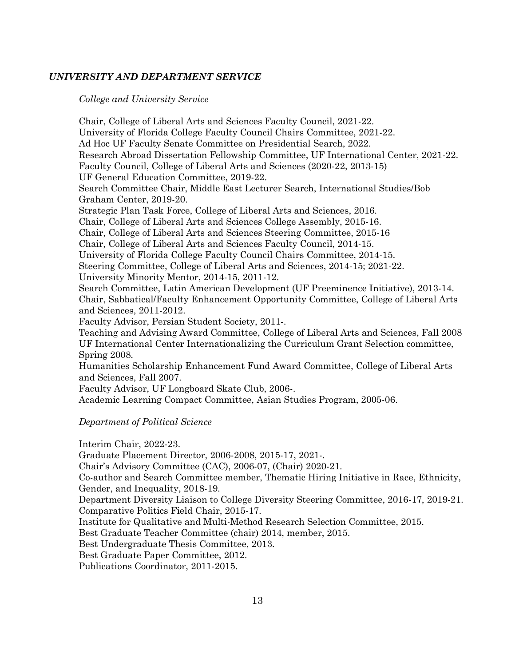# *UNIVERSITY AND DEPARTMENT SERVICE*

*College and University Service*

Chair, College of Liberal Arts and Sciences Faculty Council, 2021-22. University of Florida College Faculty Council Chairs Committee, 2021-22. Ad Hoc UF Faculty Senate Committee on Presidential Search, 2022. Research Abroad Dissertation Fellowship Committee, UF International Center, 2021-22. Faculty Council, College of Liberal Arts and Sciences (2020-22, 2013-15) UF General Education Committee, 2019-22. Search Committee Chair, Middle East Lecturer Search, International Studies/Bob Graham Center, 2019-20. Strategic Plan Task Force, College of Liberal Arts and Sciences, 2016. Chair, College of Liberal Arts and Sciences College Assembly, 2015-16. Chair, College of Liberal Arts and Sciences Steering Committee, 2015-16 Chair, College of Liberal Arts and Sciences Faculty Council, 2014-15. University of Florida College Faculty Council Chairs Committee, 2014-15. Steering Committee, College of Liberal Arts and Sciences, 2014-15; 2021-22. University Minority Mentor, 2014-15, 2011-12. Search Committee, Latin American Development (UF Preeminence Initiative), 2013-14. Chair, Sabbatical/Faculty Enhancement Opportunity Committee, College of Liberal Arts and Sciences, 2011-2012. Faculty Advisor, Persian Student Society, 2011-. Teaching and Advising Award Committee, College of Liberal Arts and Sciences, Fall 2008 UF International Center Internationalizing the Curriculum Grant Selection committee, Spring 2008. Humanities Scholarship Enhancement Fund Award Committee, College of Liberal Arts and Sciences, Fall 2007. Faculty Advisor, UF Longboard Skate Club, 2006-. Academic Learning Compact Committee, Asian Studies Program, 2005-06.

# *Department of Political Science*

Interim Chair, 2022-23.

Graduate Placement Director, 2006-2008, 2015-17, 2021-.

Chair's Advisory Committee (CAC), 2006-07, (Chair) 2020-21.

Co-author and Search Committee member, Thematic Hiring Initiative in Race, Ethnicity, Gender, and Inequality, 2018-19.

Department Diversity Liaison to College Diversity Steering Committee, 2016-17, 2019-21. Comparative Politics Field Chair, 2015-17.

Institute for Qualitative and Multi-Method Research Selection Committee, 2015.

Best Graduate Teacher Committee (chair) 2014, member, 2015.

Best Undergraduate Thesis Committee, 2013.

Best Graduate Paper Committee, 2012.

Publications Coordinator, 2011-2015.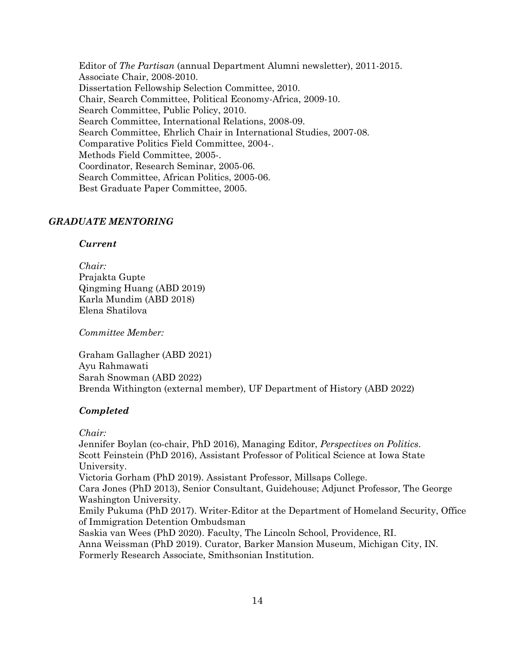Editor of *The Partisan* (annual Department Alumni newsletter), 2011-2015. Associate Chair, 2008-2010. Dissertation Fellowship Selection Committee, 2010. Chair, Search Committee, Political Economy-Africa, 2009-10. Search Committee, Public Policy, 2010. Search Committee, International Relations, 2008-09. Search Committee, Ehrlich Chair in International Studies, 2007-08. Comparative Politics Field Committee, 2004-. Methods Field Committee, 2005-. Coordinator, Research Seminar, 2005-06. Search Committee, African Politics, 2005-06. Best Graduate Paper Committee, 2005.

#### *GRADUATE MENTORING*

#### *Current*

*Chair:* Prajakta Gupte Qingming Huang (ABD 2019) Karla Mundim (ABD 2018) Elena Shatilova

*Committee Member:*

Graham Gallagher (ABD 2021) Ayu Rahmawati Sarah Snowman (ABD 2022) Brenda Withington (external member), UF Department of History (ABD 2022)

#### *Completed*

*Chair:*

Jennifer Boylan (co-chair, PhD 2016), Managing Editor, *Perspectives on Politics*. Scott Feinstein (PhD 2016), Assistant Professor of Political Science at Iowa State University. Victoria Gorham (PhD 2019). Assistant Professor, Millsaps College. Cara Jones (PhD 2013), Senior Consultant, Guidehouse; Adjunct Professor, The George Washington University. Emily Pukuma (PhD 2017). Writer-Editor at the Department of Homeland Security, Office of Immigration Detention Ombudsman Saskia van Wees (PhD 2020). Faculty, The Lincoln School, Providence, RI. Anna Weissman (PhD 2019). Curator, Barker Mansion Museum, Michigan City, IN. Formerly Research Associate, Smithsonian Institution.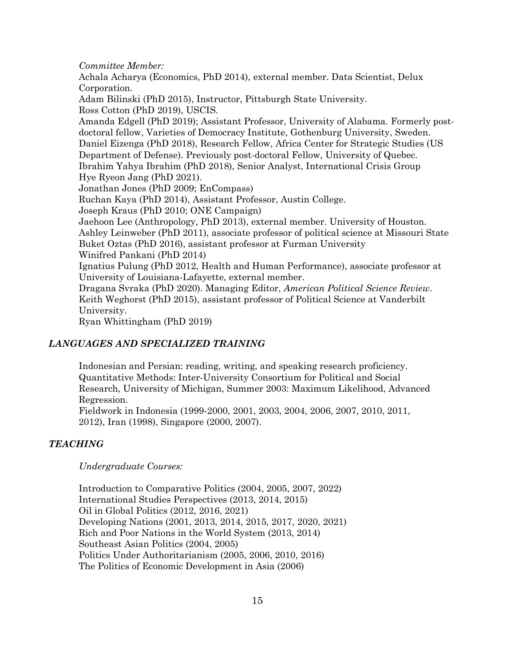*Committee Member:*

Achala Acharya (Economics, PhD 2014), external member. Data Scientist, Delux Corporation.

Adam Bilinski (PhD 2015), Instructor, Pittsburgh State University. Ross Cotton (PhD 2019), USCIS.

Amanda Edgell (PhD 2019); Assistant Professor, University of Alabama. Formerly postdoctoral fellow, Varieties of Democracy Institute, Gothenburg University, Sweden. Daniel Eizenga (PhD 2018), Research Fellow, Africa Center for Strategic Studies (US Department of Defense). Previously post-doctoral Fellow, University of Quebec. Ibrahim Yahya Ibrahim (PhD 2018), Senior Analyst, International Crisis Group Hye Ryeon Jang (PhD 2021). Jonathan Jones (PhD 2009; EnCompass) Ruchan Kaya (PhD 2014), Assistant Professor, Austin College. Joseph Kraus (PhD 2010; ONE Campaign)

Jaehoon Lee (Anthropology, PhD 2013), external member. University of Houston. Ashley Leinweber (PhD 2011), associate professor of political science at Missouri State Buket Oztas (PhD 2016), assistant professor at Furman University Winifred Pankani (PhD 2014)

Ignatius Pulung (PhD 2012, Health and Human Performance), associate professor at University of Louisiana-Lafayette, external member.

Dragana Svraka (PhD 2020). Managing Editor, *American Political Science Review*. Keith Weghorst (PhD 2015), assistant professor of Political Science at Vanderbilt University.

Ryan Whittingham (PhD 2019)

## *LANGUAGES AND SPECIALIZED TRAINING*

Indonesian and Persian: reading, writing, and speaking research proficiency. Quantitative Methods: Inter-University Consortium for Political and Social Research, University of Michigan, Summer 2003: Maximum Likelihood, Advanced Regression.

Fieldwork in Indonesia (1999-2000, 2001, 2003, 2004, 2006, 2007, 2010, 2011, 2012), Iran (1998), Singapore (2000, 2007).

# *TEACHING*

*Undergraduate Courses:* 

Introduction to Comparative Politics (2004, 2005, 2007, 2022) International Studies Perspectives (2013, 2014, 2015) Oil in Global Politics (2012, 2016, 2021) Developing Nations (2001, 2013, 2014, 2015, 2017, 2020, 2021) Rich and Poor Nations in the World System (2013, 2014) Southeast Asian Politics (2004, 2005) Politics Under Authoritarianism (2005, 2006, 2010, 2016) The Politics of Economic Development in Asia (2006)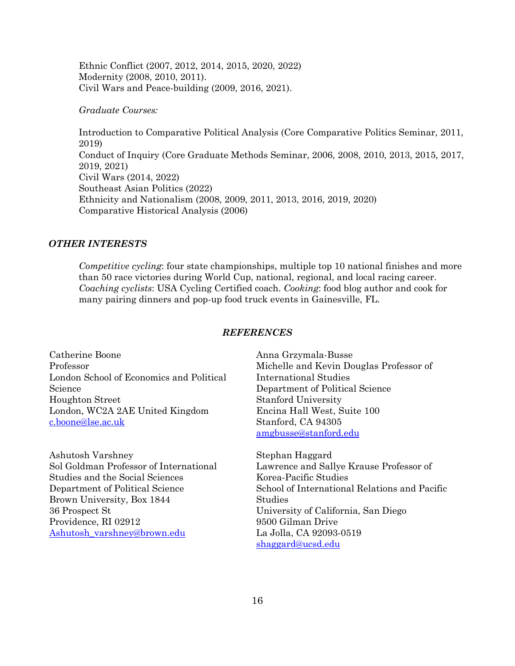Ethnic Conflict (2007, 2012, 2014, 2015, 2020, 2022) Modernity (2008, 2010, 2011). Civil Wars and Peace-building (2009, 2016, 2021).

#### *Graduate Courses:*

Introduction to Comparative Political Analysis (Core Comparative Politics Seminar, 2011, 2019) Conduct of Inquiry (Core Graduate Methods Seminar, 2006, 2008, 2010, 2013, 2015, 2017, 2019, 2021) Civil Wars (2014, 2022) Southeast Asian Politics (2022) Ethnicity and Nationalism (2008, 2009, 2011, 2013, 2016, 2019, 2020) Comparative Historical Analysis (2006)

#### *OTHER INTERESTS*

*Competitive cycling*: four state championships, multiple top 10 national finishes and more than 50 race victories during World Cup, national, regional, and local racing career. *Coaching cyclists*: USA Cycling Certified coach. *Cooking*: food blog author and cook for many pairing dinners and pop-up food truck events in Gainesville, FL.

### *REFERENCES*

Catherine Boone Professor London School of Economics and Political Science Houghton Street London, WC2A 2AE United Kingdom [c.boone@lse.ac.uk](mailto:c.boone@lse.ac.uk)

Ashutosh Varshney Sol Goldman Professor of International Studies and the Social Sciences Department of Political Science Brown University, Box 1844 36 Prospect St Providence, RI 02912 [Ashutosh\\_varshney@brown.edu](mailto:Ashutosh_varshney@brown.edu)

Anna Grzymala-Busse Michelle and Kevin Douglas Professor of International Studies Department of Political Science Stanford University Encina Hall West, Suite 100 Stanford, CA 94305 [amgbusse@stanford.edu](mailto:amgbusse@stanford.edu)

Stephan Haggard Lawrence and Sallye Krause Professor of Korea-Pacific Studies School of International Relations and Pacific Studies University of California, San Diego 9500 Gilman Drive La Jolla, CA 92093-0519 [shaggard@ucsd.edu](mailto:shaggard@ucsd.edu)